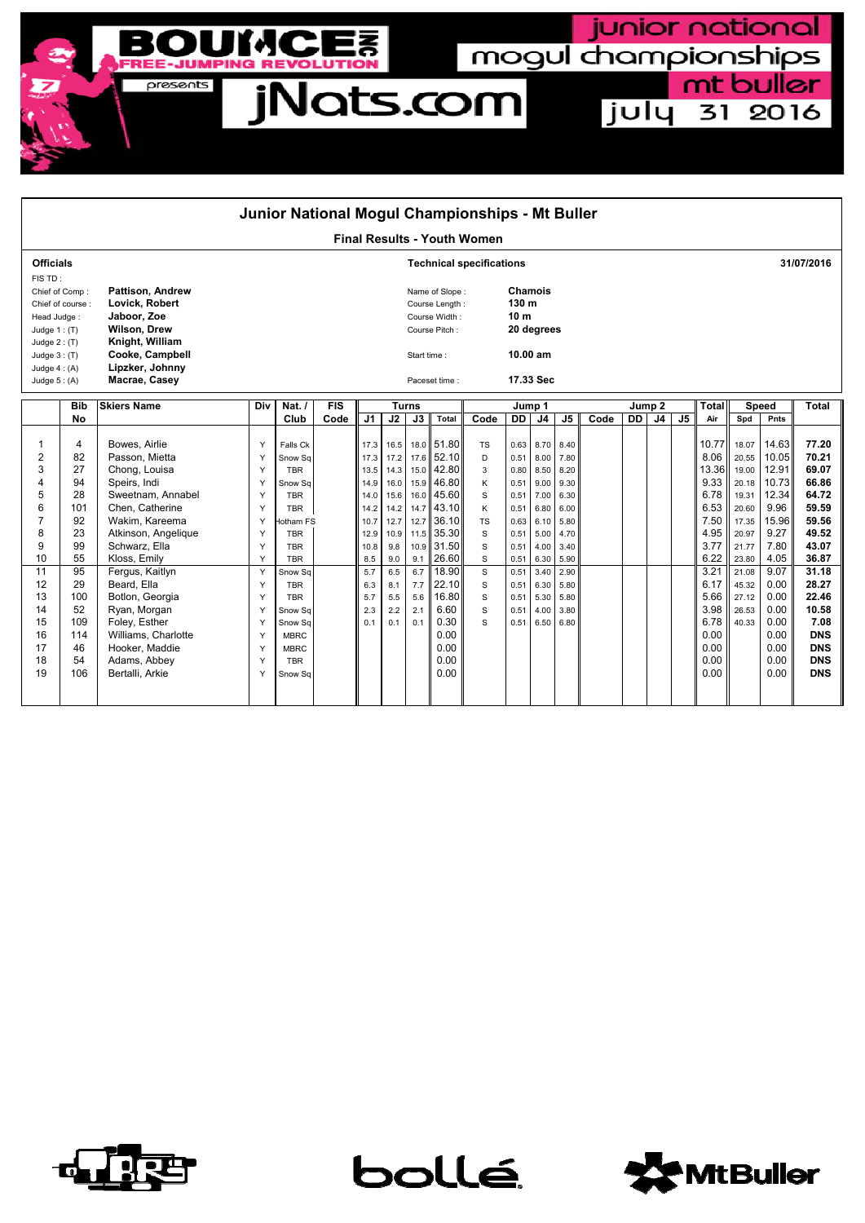

| Junior National Mogul Championships - Mt Buller                                                                                                        |                                                                      |                                                                                                                                                                                                                      |                                                          |                                                                                                                                                          |            |                                                                                           |                                                                                                    |                   |                                                                                                                                                       |                                                                                     |                                                                                              |                                                                                              |                                                                                              |      |                   |                |                |                                                                                                |                                                                                                          |                                                                                                    |                                                                                                          |  |
|--------------------------------------------------------------------------------------------------------------------------------------------------------|----------------------------------------------------------------------|----------------------------------------------------------------------------------------------------------------------------------------------------------------------------------------------------------------------|----------------------------------------------------------|----------------------------------------------------------------------------------------------------------------------------------------------------------|------------|-------------------------------------------------------------------------------------------|----------------------------------------------------------------------------------------------------|-------------------|-------------------------------------------------------------------------------------------------------------------------------------------------------|-------------------------------------------------------------------------------------|----------------------------------------------------------------------------------------------|----------------------------------------------------------------------------------------------|----------------------------------------------------------------------------------------------|------|-------------------|----------------|----------------|------------------------------------------------------------------------------------------------|----------------------------------------------------------------------------------------------------------|----------------------------------------------------------------------------------------------------|----------------------------------------------------------------------------------------------------------|--|
| <b>Final Results - Youth Women</b>                                                                                                                     |                                                                      |                                                                                                                                                                                                                      |                                                          |                                                                                                                                                          |            |                                                                                           |                                                                                                    |                   |                                                                                                                                                       |                                                                                     |                                                                                              |                                                                                              |                                                                                              |      |                   |                |                |                                                                                                |                                                                                                          |                                                                                                    |                                                                                                          |  |
| <b>Officials</b>                                                                                                                                       |                                                                      |                                                                                                                                                                                                                      |                                                          |                                                                                                                                                          |            |                                                                                           |                                                                                                    |                   |                                                                                                                                                       | <b>Technical specifications</b>                                                     |                                                                                              |                                                                                              |                                                                                              |      |                   |                |                | 31/07/2016                                                                                     |                                                                                                          |                                                                                                    |                                                                                                          |  |
| FIS TD:<br>Chief of Comp:<br>Chief of course:<br>Head Judge:<br>Judge $1:$ (T)<br>Judge $2: (T)$<br>Judge $3:$ (T)<br>Judge $4: (A)$<br>Judge $5: (A)$ |                                                                      | <b>Pattison. Andrew</b><br>Lovick, Robert<br>Jaboor, Zoe<br><b>Wilson, Drew</b><br>Knight, William<br>Cooke, Campbell<br>Lipzker, Johnny<br>Macrae, Casey                                                            |                                                          |                                                                                                                                                          |            |                                                                                           | Name of Slope:<br>Course Length:<br>Course Width:<br>Course Pitch:<br>Start time:<br>Paceset time: |                   |                                                                                                                                                       |                                                                                     | <b>Chamois</b><br>130 m<br>10 <sub>m</sub><br>20 degrees<br>10.00 am<br>17.33 Sec            |                                                                                              |                                                                                              |      |                   |                |                |                                                                                                |                                                                                                          |                                                                                                    |                                                                                                          |  |
|                                                                                                                                                        | <b>Bib</b>                                                           | <b>Skiers Name</b>                                                                                                                                                                                                   | Div                                                      | Nat./                                                                                                                                                    | <b>FIS</b> |                                                                                           |                                                                                                    | <b>Turns</b>      |                                                                                                                                                       | Jump 1                                                                              |                                                                                              |                                                                                              |                                                                                              |      | Jump <sub>2</sub> |                |                |                                                                                                |                                                                                                          | <b>Speed</b>                                                                                       | Total                                                                                                    |  |
|                                                                                                                                                        | No                                                                   |                                                                                                                                                                                                                      |                                                          | Club                                                                                                                                                     | Code       | J1                                                                                        | J2                                                                                                 | $\overline{J3}$   | Total                                                                                                                                                 | Code                                                                                | <b>DD</b>                                                                                    | J <sub>4</sub>                                                                               | J5                                                                                           | Code | <b>DD</b>         | J <sub>4</sub> | J <sub>5</sub> | <b>Total</b><br>Air                                                                            | Spd                                                                                                      | Pnts                                                                                               |                                                                                                          |  |
| 1<br>$\overline{2}$<br>3<br>4<br>5<br>6<br>$\overline{7}$<br>8<br>9<br>10<br>11<br>12                                                                  | 4<br>82<br>27<br>94<br>28<br>101<br>92<br>23<br>99<br>55<br>95<br>29 | Bowes, Airlie<br>Passon, Mietta<br>Chong, Louisa<br>Speirs, Indi<br>Sweetnam, Annabel<br>Chen, Catherine<br>Wakim, Kareema<br>Atkinson, Angelique<br>Schwarz, Ella<br>Kloss, Emily<br>Fergus, Kaitlyn<br>Beard, Ella | Y<br>Y<br>Y<br>Y<br>Y<br>Y<br>Y<br>Y<br>Y<br>Y<br>Y<br>Y | Falls Ck<br>Snow Sq<br><b>TBR</b><br>Snow Sq<br><b>TBR</b><br><b>TBR</b><br>lotham FS<br><b>TBR</b><br><b>TBR</b><br><b>TBR</b><br>Snow Sq<br><b>TBR</b> |            | 17.3<br>17.3<br>13.5<br>14.9<br>14.0<br>14.2<br>10.7<br>12.9<br>10.8<br>8.5<br>5.7<br>6.3 | 16.5<br>17.2<br>14.3<br>16.0<br>15.6<br>14.2<br>12.7<br>10.9<br>9.8<br>9.0<br>6.5<br>8.1           | 9.1<br>6.7<br>7.7 | 18.0 51.80<br>17.6 52.10<br>15.0 42.80<br>15.9 46.80<br>16.0 45.60<br>14.7 43.10<br>12.7 36.10<br>11.5 35.30<br>10.9 31.50<br>26.60<br>18.90<br>22.10 | <b>TS</b><br>D<br>3<br>Κ<br>S<br>K<br><b>TS</b><br>S<br>$\mathsf{s}$<br>S<br>S<br>S | 0.63<br>0.51<br>0.80<br>0.51<br>0.51<br>0.51<br>0.63<br>0.51<br>0.51<br>0.51<br>0.51<br>0.51 | 8.70<br>8.00<br>8.50<br>9.00<br>7.00<br>6.80<br>6.10<br>5.00<br>4.00<br>6.30<br>3.40<br>6.30 | 8.40<br>7.80<br>8.20<br>9.30<br>6.30<br>6.00<br>5.80<br>4.70<br>3.40<br>5.90<br>2.90<br>5.80 |      |                   |                |                | 10.77<br>8.06<br>13.36<br>9.33<br>6.78<br>6.53<br>7.50<br>4.95<br>3.77<br>6.22<br>3.21<br>6.17 | 18.07<br>20.55<br>19.00<br>20.18<br>19.31<br>20.60<br>17.35<br>20.97<br>21.77<br>23.80<br>21.08<br>45.32 | 14.63<br>10.05<br>12.91<br>10.73<br>12.34<br>9.96<br>15.96<br>9.27<br>7.80<br>4.05<br>9.07<br>0.00 | 77.20<br>70.21<br>69.07<br>66.86<br>64.72<br>59.59<br>59.56<br>49.52<br>43.07<br>36.87<br>31.18<br>28.27 |  |
| 13<br>14<br>15<br>16<br>17<br>18<br>19                                                                                                                 | 100<br>52<br>109<br>114<br>46<br>54<br>106                           | Botlon, Georgia<br>Ryan, Morgan<br>Foley, Esther<br>Williams, Charlotte<br>Hooker, Maddie<br>Adams, Abbey<br>Bertalli, Arkie                                                                                         | Y<br>Y<br>Y<br>Y<br>Y<br>Y<br>Y                          | <b>TBR</b><br>Snow Sa<br>Snow Sa<br><b>MBRC</b><br><b>MBRC</b><br><b>TBR</b><br>Snow Sq                                                                  |            | 5.7<br>2.3<br>0.1                                                                         | 5.5<br>2.2<br>0.1                                                                                  | 5.6<br>2.1<br>0.1 | 16.80<br>6.60<br>0.30<br>0.00<br>0.00<br>0.00<br>0.00                                                                                                 | S<br>S<br>S                                                                         | 0.51<br>0.51<br>0.51                                                                         | 5.30<br>4.00<br>6.50                                                                         | 5.80<br>3.80<br>6.80                                                                         |      |                   |                |                | 5.66<br>3.98<br>6.78<br>0.00<br>0.00<br>0.00<br>0.00                                           | 27.12<br>26.53<br>40.33                                                                                  | 0.00<br>0.00<br>0.00<br>0.00<br>0.00<br>0.00<br>0.00                                               | 22.46<br>10.58<br>7.08<br><b>DNS</b><br><b>DNS</b><br><b>DNS</b><br><b>DNS</b>                           |  |



bollé



junior national

july 31 2016

mogul championships